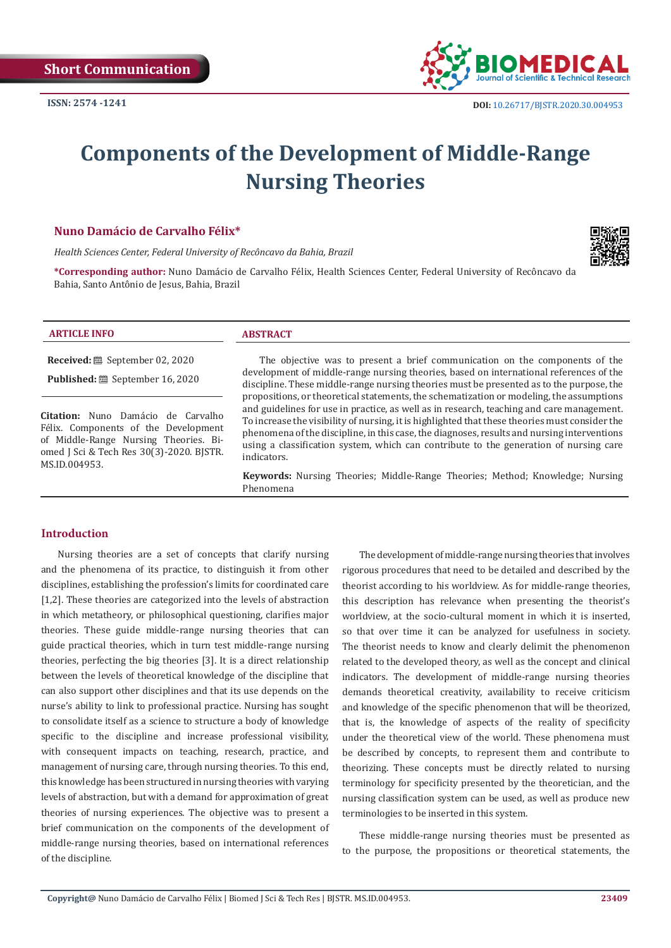

# **Components of the Development of Middle-Range Nursing Theories**

#### **Nuno Damácio de Carvalho Félix\***

*Health Sciences Center, Federal University of Recôncavo da Bahia, Brazil*

**\*Corresponding author:** Nuno Damácio de Carvalho Félix, Health Sciences Center, Federal University of Recôncavo da Bahia, Santo Antônio de Jesus, Bahia, Brazil



#### **ARTICLE INFO ABSTRACT**

**Received:** September 02, 2020

**Published:** September 16, 2020

**Citation:** Nuno Damácio de Carvalho Félix. Components of the Development of Middle-Range Nursing Theories. Biomed J Sci & Tech Res 30(3)-2020. BJSTR. MS.ID.004953.

The objective was to present a brief communication on the components of the development of middle-range nursing theories, based on international references of the discipline. These middle-range nursing theories must be presented as to the purpose, the propositions, or theoretical statements, the schematization or modeling, the assumptions and guidelines for use in practice, as well as in research, teaching and care management. To increase the visibility of nursing, it is highlighted that these theories must consider the phenomena of the discipline, in this case, the diagnoses, results and nursing interventions using a classification system, which can contribute to the generation of nursing care indicators.

**Keywords:** Nursing Theories; Middle-Range Theories; Method; Knowledge; Nursing Phenomena

#### **Introduction**

Nursing theories are a set of concepts that clarify nursing and the phenomena of its practice, to distinguish it from other disciplines, establishing the profession's limits for coordinated care [1,2]. These theories are categorized into the levels of abstraction in which metatheory, or philosophical questioning, clarifies major theories. These guide middle-range nursing theories that can guide practical theories, which in turn test middle-range nursing theories, perfecting the big theories [3]. It is a direct relationship between the levels of theoretical knowledge of the discipline that can also support other disciplines and that its use depends on the nurse's ability to link to professional practice. Nursing has sought to consolidate itself as a science to structure a body of knowledge specific to the discipline and increase professional visibility, with consequent impacts on teaching, research, practice, and management of nursing care, through nursing theories. To this end, this knowledge has been structured in nursing theories with varying levels of abstraction, but with a demand for approximation of great theories of nursing experiences. The objective was to present a brief communication on the components of the development of middle-range nursing theories, based on international references of the discipline.

The development of middle-range nursing theories that involves rigorous procedures that need to be detailed and described by the theorist according to his worldview. As for middle-range theories, this description has relevance when presenting the theorist's worldview, at the socio-cultural moment in which it is inserted, so that over time it can be analyzed for usefulness in society. The theorist needs to know and clearly delimit the phenomenon related to the developed theory, as well as the concept and clinical indicators. The development of middle-range nursing theories demands theoretical creativity, availability to receive criticism and knowledge of the specific phenomenon that will be theorized, that is, the knowledge of aspects of the reality of specificity under the theoretical view of the world. These phenomena must be described by concepts, to represent them and contribute to theorizing. These concepts must be directly related to nursing terminology for specificity presented by the theoretician, and the nursing classification system can be used, as well as produce new terminologies to be inserted in this system.

These middle-range nursing theories must be presented as to the purpose, the propositions or theoretical statements, the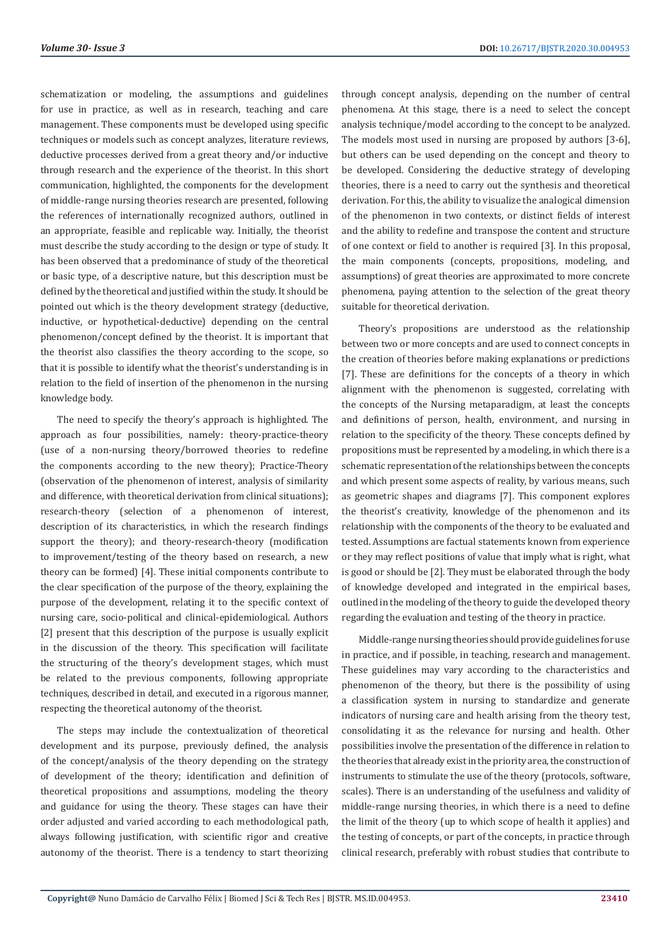schematization or modeling, the assumptions and guidelines for use in practice, as well as in research, teaching and care management. These components must be developed using specific techniques or models such as concept analyzes, literature reviews, deductive processes derived from a great theory and/or inductive through research and the experience of the theorist. In this short communication, highlighted, the components for the development of middle-range nursing theories research are presented, following the references of internationally recognized authors, outlined in an appropriate, feasible and replicable way. Initially, the theorist must describe the study according to the design or type of study. It has been observed that a predominance of study of the theoretical or basic type, of a descriptive nature, but this description must be defined by the theoretical and justified within the study. It should be pointed out which is the theory development strategy (deductive, inductive, or hypothetical-deductive) depending on the central phenomenon/concept defined by the theorist. It is important that the theorist also classifies the theory according to the scope, so that it is possible to identify what the theorist's understanding is in relation to the field of insertion of the phenomenon in the nursing knowledge body.

The need to specify the theory's approach is highlighted. The approach as four possibilities, namely: theory-practice-theory (use of a non-nursing theory/borrowed theories to redefine the components according to the new theory); Practice-Theory (observation of the phenomenon of interest, analysis of similarity and difference, with theoretical derivation from clinical situations); research-theory (selection of a phenomenon of interest, description of its characteristics, in which the research findings support the theory); and theory-research-theory (modification to improvement/testing of the theory based on research, a new theory can be formed) [4]. These initial components contribute to the clear specification of the purpose of the theory, explaining the purpose of the development, relating it to the specific context of nursing care, socio-political and clinical-epidemiological. Authors [2] present that this description of the purpose is usually explicit in the discussion of the theory. This specification will facilitate the structuring of the theory's development stages, which must be related to the previous components, following appropriate techniques, described in detail, and executed in a rigorous manner, respecting the theoretical autonomy of the theorist.

The steps may include the contextualization of theoretical development and its purpose, previously defined, the analysis of the concept/analysis of the theory depending on the strategy of development of the theory; identification and definition of theoretical propositions and assumptions, modeling the theory and guidance for using the theory. These stages can have their order adjusted and varied according to each methodological path, always following justification, with scientific rigor and creative autonomy of the theorist. There is a tendency to start theorizing through concept analysis, depending on the number of central phenomena. At this stage, there is a need to select the concept analysis technique/model according to the concept to be analyzed. The models most used in nursing are proposed by authors [3-6], but others can be used depending on the concept and theory to be developed. Considering the deductive strategy of developing theories, there is a need to carry out the synthesis and theoretical derivation. For this, the ability to visualize the analogical dimension of the phenomenon in two contexts, or distinct fields of interest and the ability to redefine and transpose the content and structure of one context or field to another is required [3]. In this proposal, the main components (concepts, propositions, modeling, and assumptions) of great theories are approximated to more concrete phenomena, paying attention to the selection of the great theory suitable for theoretical derivation.

Theory's propositions are understood as the relationship between two or more concepts and are used to connect concepts in the creation of theories before making explanations or predictions [7]. These are definitions for the concepts of a theory in which alignment with the phenomenon is suggested, correlating with the concepts of the Nursing metaparadigm, at least the concepts and definitions of person, health, environment, and nursing in relation to the specificity of the theory. These concepts defined by propositions must be represented by a modeling, in which there is a schematic representation of the relationships between the concepts and which present some aspects of reality, by various means, such as geometric shapes and diagrams [7]. This component explores the theorist's creativity, knowledge of the phenomenon and its relationship with the components of the theory to be evaluated and tested. Assumptions are factual statements known from experience or they may reflect positions of value that imply what is right, what is good or should be [2]. They must be elaborated through the body of knowledge developed and integrated in the empirical bases, outlined in the modeling of the theory to guide the developed theory regarding the evaluation and testing of the theory in practice.

Middle-range nursing theories should provide guidelines for use in practice, and if possible, in teaching, research and management. These guidelines may vary according to the characteristics and phenomenon of the theory, but there is the possibility of using a classification system in nursing to standardize and generate indicators of nursing care and health arising from the theory test, consolidating it as the relevance for nursing and health. Other possibilities involve the presentation of the difference in relation to the theories that already exist in the priority area, the construction of instruments to stimulate the use of the theory (protocols, software, scales). There is an understanding of the usefulness and validity of middle-range nursing theories, in which there is a need to define the limit of the theory (up to which scope of health it applies) and the testing of concepts, or part of the concepts, in practice through clinical research, preferably with robust studies that contribute to